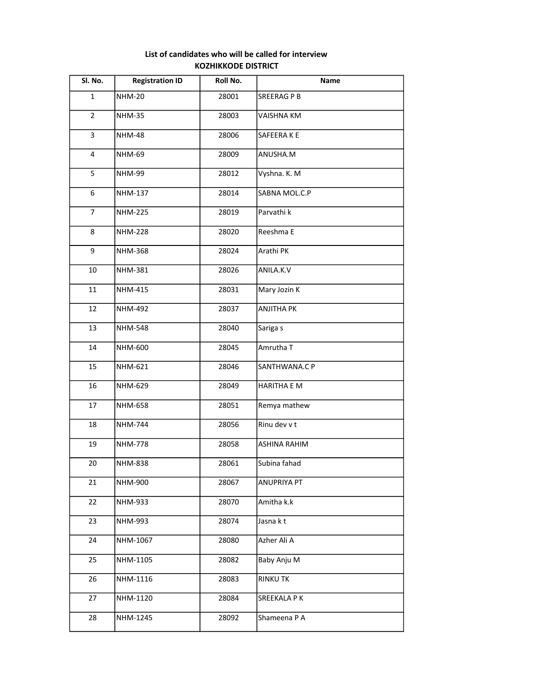## List of candidates who will be called for interview KOZHIKKODE DISTRICT

| Sl. No.        | <b>Registration ID</b> | Roll No. | Name                |
|----------------|------------------------|----------|---------------------|
| $\mathbf{1}$   | <b>NHM-20</b>          | 28001    | SREERAG P B         |
| $\overline{2}$ | <b>NHM-35</b>          | 28003    | VAISHNA KM          |
| 3              | <b>NHM-48</b>          | 28006    | SAFEERAKE           |
| $\overline{4}$ | <b>NHM-69</b>          | 28009    | ANUSHA.M            |
| 5              | <b>NHM-99</b>          | 28012    | Vyshna. K. M        |
| 6              | NHM-137                | 28014    | SABNA MOL.C.P       |
| $\overline{7}$ | <b>NHM-225</b>         | 28019    | Parvathi k          |
| 8              | <b>NHM-228</b>         | 28020    | Reeshma E           |
| 9              | NHM-368                | 28024    | Arathi PK           |
| 10             | <b>NHM-381</b>         | 28026    | ANILA.K.V           |
| 11             | <b>NHM-415</b>         | 28031    | Mary Jozin K        |
| 12             | NHM-492                | 28037    | <b>ANJITHA PK</b>   |
| 13             | <b>NHM-548</b>         | 28040    | Sariga s            |
| 14             | NHM-600                | 28045    | Amrutha T           |
| 15             | NHM-621                | 28046    | SANTHWANA.C P       |
| 16             | <b>NHM-629</b>         | 28049    | <b>HARITHA E M</b>  |
| 17             | <b>NHM-658</b>         | 28051    | Remya mathew        |
| 18             | <b>NHM-744</b>         | 28056    | Rinu dev v t        |
| 19             | <b>NHM-778</b>         | 28058    | <b>ASHINA RAHIM</b> |
| 20             | <b>NHM-838</b>         | 28061    | Subina fahad        |
| 21             | NHM-900                | 28067    | ANUPRIYA PT         |
| 22             | NHM-933                | 28070    | Amitha k.k          |
| 23             | NHM-993                | 28074    | Jasna kt            |
| 24             | NHM-1067               | 28080    | Azher Ali A         |
| 25             | NHM-1105               | 28082    | Baby Anju M         |
| 26             | NHM-1116               | 28083    | <b>RINKU TK</b>     |
| 27             | NHM-1120               | 28084    | SREEKALA P K        |
| 28             | NHM-1245               | 28092    | Shameena P A        |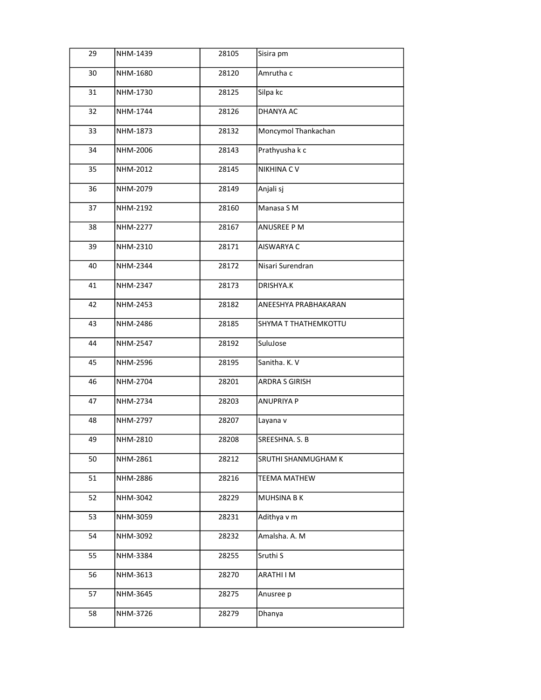| 29 | NHM-1439 | 28105 | Sisira pm            |
|----|----------|-------|----------------------|
| 30 | NHM-1680 | 28120 | Amrutha c            |
| 31 | NHM-1730 | 28125 | Silpa kc             |
| 32 | NHM-1744 | 28126 | DHANYA AC            |
| 33 | NHM-1873 | 28132 | Moncymol Thankachan  |
| 34 | NHM-2006 | 28143 | Prathyusha k c       |
| 35 | NHM-2012 | 28145 | <b>NIKHINA CV</b>    |
| 36 | NHM-2079 | 28149 | Anjali sj            |
| 37 | NHM-2192 | 28160 | Manasa S M           |
| 38 | NHM-2277 | 28167 | ANUSREE P M          |
| 39 | NHM-2310 | 28171 | AISWARYA C           |
| 40 | NHM-2344 | 28172 | Nisari Surendran     |
| 41 | NHM-2347 | 28173 | DRISHYA.K            |
| 42 | NHM-2453 | 28182 | ANEESHYA PRABHAKARAN |
| 43 | NHM-2486 | 28185 | SHYMA T THATHEMKOTTU |
| 44 | NHM-2547 | 28192 | SuluJose             |
| 45 | NHM-2596 | 28195 | Sanitha. K. V        |
| 46 | NHM-2704 | 28201 | ARDRA S GIRISH       |
| 47 | NHM-2734 | 28203 | ANUPRIYA P           |
| 48 | NHM-2797 | 28207 | Layana v             |
| 49 | NHM-2810 | 28208 | SREESHNA. S. B       |
| 50 | NHM-2861 | 28212 | SRUTHI SHANMUGHAM K  |
| 51 | NHM-2886 | 28216 | <b>TEEMA MATHEW</b>  |
| 52 | NHM-3042 | 28229 | <b>MUHSINA BK</b>    |
| 53 | NHM-3059 | 28231 | Adithya v m          |
| 54 | NHM-3092 | 28232 | Amalsha. A. M        |
| 55 | NHM-3384 | 28255 | Sruthi S             |
| 56 | NHM-3613 | 28270 | ARATHI I M           |
| 57 | NHM-3645 | 28275 | Anusree p            |
| 58 | NHM-3726 | 28279 | Dhanya               |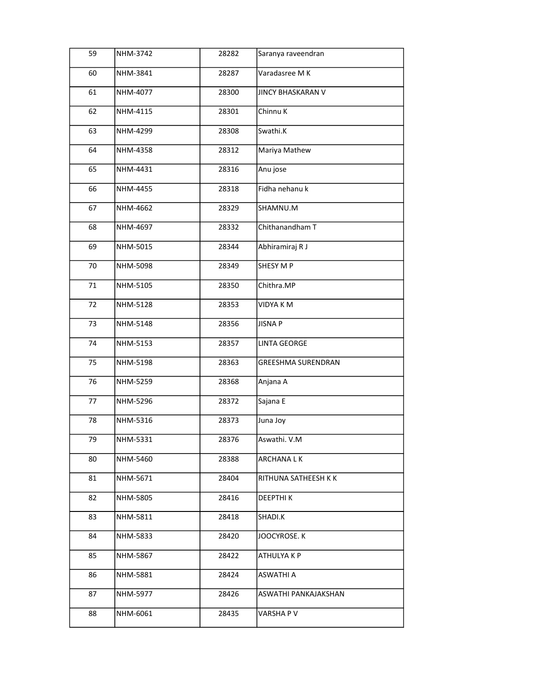| 59 | NHM-3742 | 28282 | Saranya raveendran        |
|----|----------|-------|---------------------------|
| 60 | NHM-3841 | 28287 | Varadasree M K            |
| 61 | NHM-4077 | 28300 | <b>JINCY BHASKARAN V</b>  |
| 62 | NHM-4115 | 28301 | Chinnu K                  |
| 63 | NHM-4299 | 28308 | Swathi.K                  |
| 64 | NHM-4358 | 28312 | Mariya Mathew             |
| 65 | NHM-4431 | 28316 | Anu jose                  |
| 66 | NHM-4455 | 28318 | Fidha nehanu k            |
| 67 | NHM-4662 | 28329 | SHAMNU.M                  |
| 68 | NHM-4697 | 28332 | Chithanandham T           |
| 69 | NHM-5015 | 28344 | Abhiramiraj R J           |
| 70 | NHM-5098 | 28349 | SHESY M P                 |
| 71 | NHM-5105 | 28350 | Chithra.MP                |
| 72 | NHM-5128 | 28353 | VIDYA K M                 |
| 73 | NHM-5148 | 28356 | <b>JISNA P</b>            |
| 74 | NHM-5153 | 28357 | <b>LINTA GEORGE</b>       |
| 75 | NHM-5198 | 28363 | <b>GREESHMA SURENDRAN</b> |
| 76 | NHM-5259 | 28368 | Anjana A                  |
| 77 | NHM-5296 | 28372 | Sajana E                  |
| 78 | NHM-5316 | 28373 | Juna Joy                  |
| 79 | NHM-5331 | 28376 | Aswathi. V.M              |
| 80 | NHM-5460 | 28388 | ARCHANA L K               |
| 81 | NHM-5671 | 28404 | RITHUNA SATHEESH K K      |
| 82 | NHM-5805 | 28416 | <b>DEEPTHIK</b>           |
| 83 | NHM-5811 | 28418 | SHADI.K                   |
| 84 | NHM-5833 | 28420 | JOOCYROSE. K              |
| 85 | NHM-5867 | 28422 | ATHULYA K P               |
| 86 | NHM-5881 | 28424 | ASWATHI A                 |
| 87 | NHM-5977 | 28426 | ASWATHI PANKAJAKSHAN      |
| 88 | NHM-6061 | 28435 | VARSHA P V                |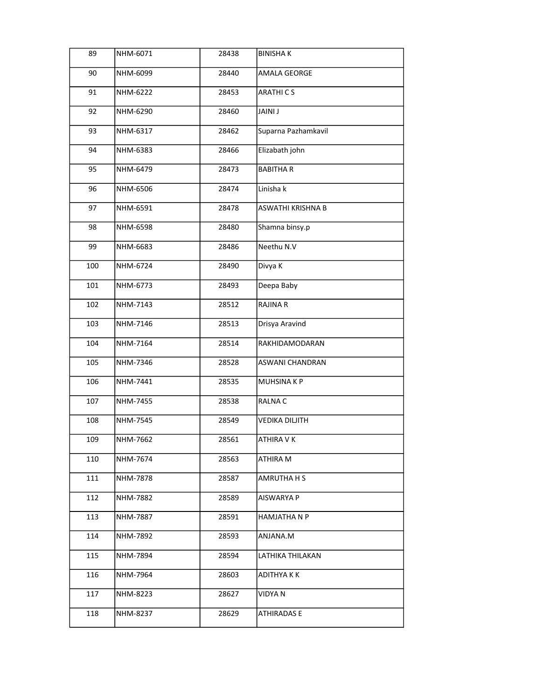| 89  | NHM-6071        | 28438 | <b>BINISHAK</b>       |
|-----|-----------------|-------|-----------------------|
| 90  | NHM-6099        | 28440 | AMALA GEORGE          |
| 91  | NHM-6222        | 28453 | <b>ARATHICS</b>       |
| 92  | NHM-6290        | 28460 | JAINI J               |
| 93  | NHM-6317        | 28462 | Suparna Pazhamkavil   |
| 94  | NHM-6383        | 28466 | Elizabath john        |
| 95  | NHM-6479        | 28473 | <b>BABITHAR</b>       |
| 96  | NHM-6506        | 28474 | Linisha k             |
| 97  | NHM-6591        | 28478 | ASWATHI KRISHNA B     |
| 98  | NHM-6598        | 28480 | Shamna binsy.p        |
| 99  | NHM-6683        | 28486 | Neethu N.V            |
| 100 | NHM-6724        | 28490 | Divya K               |
| 101 | NHM-6773        | 28493 | Deepa Baby            |
| 102 | NHM-7143        | 28512 | <b>RAJINA R</b>       |
| 103 | NHM-7146        | 28513 | Drisya Aravind        |
| 104 | NHM-7164        | 28514 | RAKHIDAMODARAN        |
| 105 | NHM-7346        | 28528 | ASWANI CHANDRAN       |
| 106 | NHM-7441        | 28535 | MUHSINA K P           |
| 107 | NHM-7455        | 28538 | RALNA C               |
| 108 | <b>NHM-7545</b> | 28549 | <b>VEDIKA DILJITH</b> |
| 109 | NHM-7662        | 28561 | ATHIRA V K            |
| 110 | NHM-7674        | 28563 | ATHIRA M              |
| 111 | NHM-7878        | 28587 | AMRUTHA H S           |
| 112 | NHM-7882        | 28589 | AISWARYA P            |
| 113 | NHM-7887        | 28591 | HAMJATHA N P          |
| 114 | NHM-7892        | 28593 | ANJANA.M              |
| 115 | NHM-7894        | 28594 | LATHIKA THILAKAN      |
| 116 | NHM-7964        | 28603 | ADITHYA K K           |
| 117 | NHM-8223        | 28627 | VIDYA N               |
| 118 | NHM-8237        | 28629 | <b>ATHIRADAS E</b>    |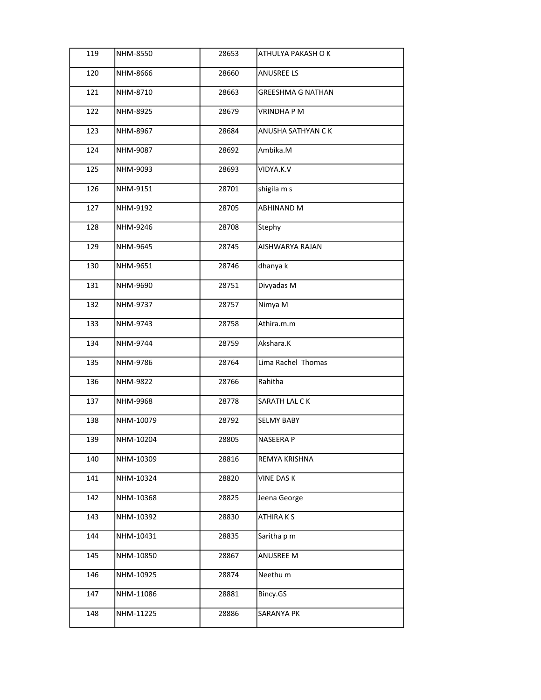| 119 | NHM-8550  | 28653 | ATHULYA PAKASH O K       |
|-----|-----------|-------|--------------------------|
| 120 | NHM-8666  | 28660 | ANUSREE LS               |
| 121 | NHM-8710  | 28663 | <b>GREESHMA G NATHAN</b> |
| 122 | NHM-8925  | 28679 | <b>VRINDHAPM</b>         |
| 123 | NHM-8967  | 28684 | ANUSHA SATHYAN CK        |
| 124 | NHM-9087  | 28692 | Ambika.M                 |
| 125 | NHM-9093  | 28693 | VIDYA.K.V                |
| 126 | NHM-9151  | 28701 | shigila m s              |
| 127 | NHM-9192  | 28705 | ABHINAND M               |
| 128 | NHM-9246  | 28708 | Stephy                   |
| 129 | NHM-9645  | 28745 | AISHWARYA RAJAN          |
| 130 | NHM-9651  | 28746 | dhanya k                 |
| 131 | NHM-9690  | 28751 | Divyadas M               |
| 132 | NHM-9737  | 28757 | Nimya M                  |
| 133 | NHM-9743  | 28758 | Athira.m.m               |
| 134 | NHM-9744  | 28759 | Akshara.K                |
| 135 | NHM-9786  | 28764 | Lima Rachel Thomas       |
| 136 | NHM-9822  | 28766 | Rahitha                  |
| 137 | NHM-9968  | 28778 | SARATH LAL CK            |
| 138 | NHM-10079 | 28792 | <b>SELMY BABY</b>        |
| 139 | NHM-10204 | 28805 | NASEERA P                |
| 140 | NHM-10309 | 28816 | REMYA KRISHNA            |
| 141 | NHM-10324 | 28820 | <b>VINE DAS K</b>        |
| 142 | NHM-10368 | 28825 | Jeena George             |
| 143 | NHM-10392 | 28830 | ATHIRA K S               |
| 144 | NHM-10431 | 28835 | Saritha p m              |
| 145 | NHM-10850 | 28867 | ANUSREE M                |
| 146 | NHM-10925 | 28874 | Neethu m                 |
| 147 | NHM-11086 | 28881 | Bincy.GS                 |
| 148 | NHM-11225 | 28886 | SARANYA PK               |
|     |           |       |                          |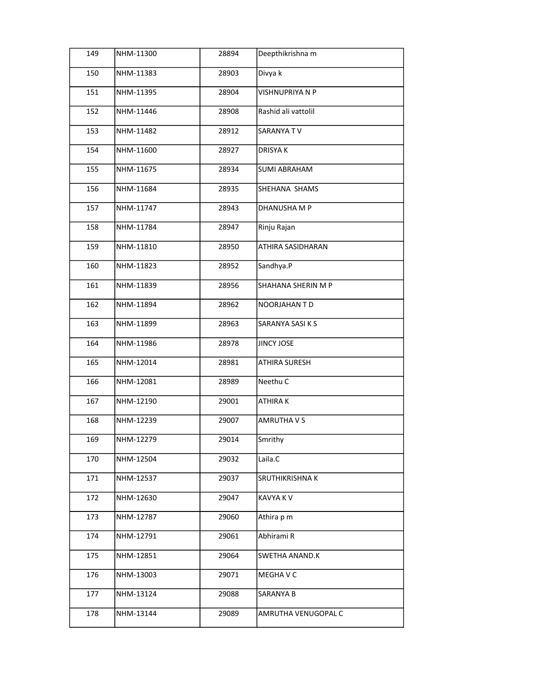| 149 | NHM-11300 | 28894 | Deepthikrishna m     |
|-----|-----------|-------|----------------------|
| 150 | NHM-11383 | 28903 | Divya k              |
| 151 | NHM-11395 | 28904 | VISHNUPRIYA N P      |
| 152 | NHM-11446 | 28908 | Rashid ali vattolil  |
| 153 | NHM-11482 | 28912 | SARANYA TV           |
| 154 | NHM-11600 | 28927 | <b>DRISYAK</b>       |
| 155 | NHM-11675 | 28934 | <b>SUMI ABRAHAM</b>  |
| 156 | NHM-11684 | 28935 | SHEHANA SHAMS        |
| 157 | NHM-11747 | 28943 | DHANUSHA M P         |
| 158 | NHM-11784 | 28947 | Rinju Rajan          |
| 159 | NHM-11810 | 28950 | ATHIRA SASIDHARAN    |
| 160 | NHM-11823 | 28952 | Sandhya.P            |
| 161 | NHM-11839 | 28956 | SHAHANA SHERIN M P   |
| 162 | NHM-11894 | 28962 | NOORJAHAN T D        |
| 163 | NHM-11899 | 28963 | SARANYA SASI K S     |
| 164 | NHM-11986 | 28978 | JINCY JOSE           |
| 165 | NHM-12014 | 28981 | <b>ATHIRA SURESH</b> |
| 166 | NHM-12081 | 28989 | Neethu C             |
| 167 | NHM-12190 | 29001 | ATHIRA K             |
| 168 | NHM-12239 | 29007 | <b>AMRUTHA V S</b>   |
| 169 | NHM-12279 | 29014 | Smrithy              |
| 170 | NHM-12504 | 29032 | Laila.C              |
| 171 | NHM-12537 | 29037 | SRUTHIKRISHNA K      |
| 172 | NHM-12630 | 29047 | KAVYA K V            |
| 173 | NHM-12787 | 29060 | Athira p m           |
| 174 | NHM-12791 | 29061 | Abhirami R           |
| 175 | NHM-12851 | 29064 | SWETHA ANAND.K       |
| 176 | NHM-13003 | 29071 | MEGHA V C            |
| 177 | NHM-13124 | 29088 | SARANYA B            |
| 178 | NHM-13144 | 29089 | AMRUTHA VENUGOPAL C  |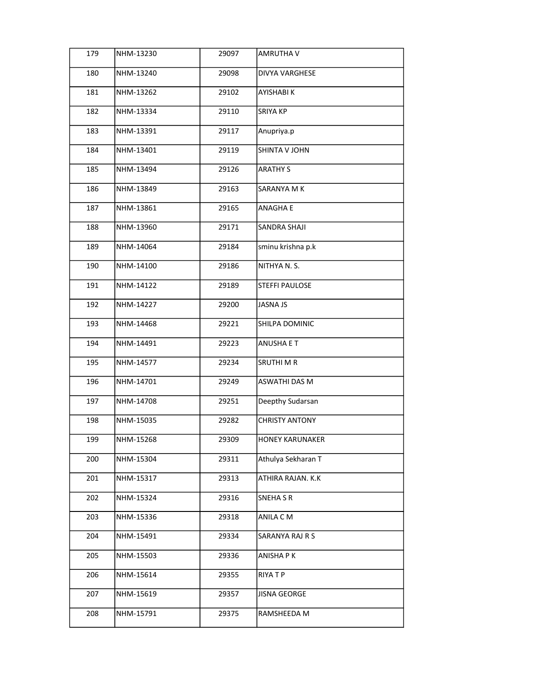| 179 | NHM-13230 | 29097 | AMRUTHA V              |
|-----|-----------|-------|------------------------|
| 180 | NHM-13240 | 29098 | <b>DIVYA VARGHESE</b>  |
| 181 | NHM-13262 | 29102 | AYISHABI K             |
| 182 | NHM-13334 | 29110 | <b>SRIYA KP</b>        |
| 183 | NHM-13391 | 29117 | Anupriya.p             |
| 184 | NHM-13401 | 29119 | SHINTA V JOHN          |
| 185 | NHM-13494 | 29126 | <b>ARATHY S</b>        |
| 186 | NHM-13849 | 29163 | SARANYA M K            |
| 187 | NHM-13861 | 29165 | <b>ANAGHAE</b>         |
| 188 | NHM-13960 | 29171 | <b>SANDRA SHAJI</b>    |
| 189 | NHM-14064 | 29184 | sminu krishna p.k      |
| 190 | NHM-14100 | 29186 | NITHYA N. S.           |
| 191 | NHM-14122 | 29189 | STEFFI PAULOSE         |
| 192 | NHM-14227 | 29200 | JASNA JS               |
| 193 | NHM-14468 | 29221 | SHILPA DOMINIC         |
| 194 | NHM-14491 | 29223 | <b>ANUSHA E T</b>      |
| 195 | NHM-14577 | 29234 | SRUTHI M R             |
| 196 | NHM-14701 | 29249 | ASWATHI DAS M          |
| 197 | NHM-14708 | 29251 | Deepthy Sudarsan       |
| 198 | NHM-15035 | 29282 | <b>CHRISTY ANTONY</b>  |
| 199 | NHM-15268 | 29309 | <b>HONEY KARUNAKER</b> |
| 200 | NHM-15304 | 29311 | Athulya Sekharan T     |
| 201 | NHM-15317 | 29313 | ATHIRA RAJAN. K.K      |
| 202 | NHM-15324 | 29316 | <b>SNEHASR</b>         |
| 203 | NHM-15336 | 29318 | ANILA CM               |
| 204 | NHM-15491 | 29334 | SARANYA RAJ R S        |
| 205 | NHM-15503 | 29336 | ANISHA P K             |
| 206 | NHM-15614 | 29355 | RIYA T P               |
| 207 | NHM-15619 | 29357 | <b>JISNA GEORGE</b>    |
| 208 | NHM-15791 | 29375 | RAMSHEEDA M            |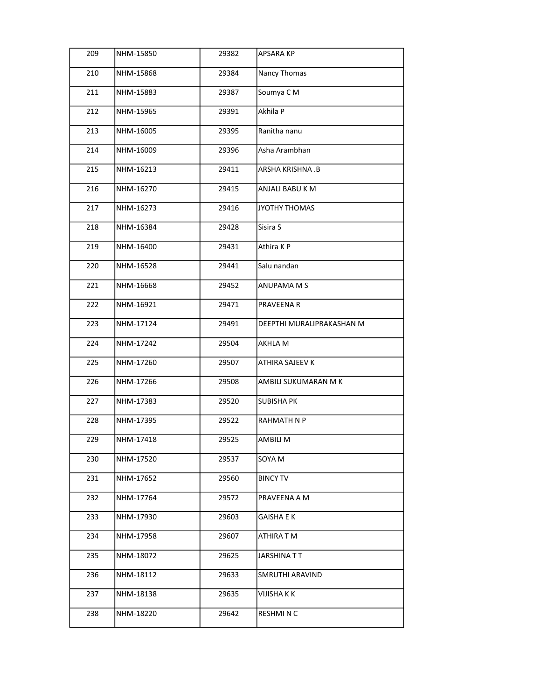| 209 | NHM-15850 | 29382 | <b>APSARA KP</b>          |
|-----|-----------|-------|---------------------------|
| 210 | NHM-15868 | 29384 | Nancy Thomas              |
| 211 | NHM-15883 | 29387 | Soumya CM                 |
| 212 | NHM-15965 | 29391 | Akhila P                  |
| 213 | NHM-16005 | 29395 | Ranitha nanu              |
| 214 | NHM-16009 | 29396 | Asha Arambhan             |
| 215 | NHM-16213 | 29411 | ARSHA KRISHNA .B          |
| 216 | NHM-16270 | 29415 | ANJALI BABU K M           |
| 217 | NHM-16273 | 29416 | JYOTHY THOMAS             |
| 218 | NHM-16384 | 29428 | Sisira S                  |
| 219 | NHM-16400 | 29431 | Athira KP                 |
| 220 | NHM-16528 | 29441 | Salu nandan               |
| 221 | NHM-16668 | 29452 | ANUPAMA M S               |
| 222 | NHM-16921 | 29471 | PRAVEENA R                |
| 223 | NHM-17124 | 29491 | DEEPTHI MURALIPRAKASHAN M |
| 224 | NHM-17242 | 29504 | AKHLA M                   |
| 225 | NHM-17260 | 29507 | ATHIRA SAJEEV K           |
| 226 | NHM-17266 | 29508 | AMBILI SUKUMARAN M K      |
| 227 | NHM-17383 | 29520 | <b>SUBISHA PK</b>         |
| 228 | NHM-17395 | 29522 | RAHMATH N P               |
| 229 | NHM-17418 | 29525 | AMBILI M                  |
| 230 | NHM-17520 | 29537 | SOYA M                    |
| 231 | NHM-17652 | 29560 | <b>BINCY TV</b>           |
| 232 | NHM-17764 | 29572 | PRAVEENA A M              |
| 233 | NHM-17930 | 29603 | GAISHA E K                |
| 234 | NHM-17958 | 29607 | ATHIRA T M                |
| 235 | NHM-18072 | 29625 | JARSHINA T T              |
| 236 | NHM-18112 | 29633 | SMRUTHI ARAVIND           |
| 237 | NHM-18138 | 29635 | VIJISHA K K               |
| 238 | NHM-18220 | 29642 | RESHMI N C                |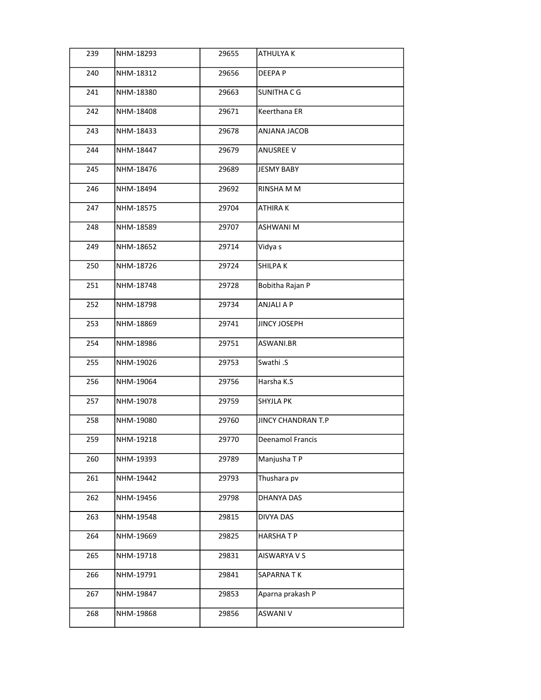| 239 | NHM-18293 | 29655 | ATHULYA K           |
|-----|-----------|-------|---------------------|
| 240 | NHM-18312 | 29656 | DEEPA P             |
| 241 | NHM-18380 | 29663 | SUNITHA C G         |
| 242 | NHM-18408 | 29671 | Keerthana ER        |
| 243 | NHM-18433 | 29678 | ANJANA JACOB        |
| 244 | NHM-18447 | 29679 | <b>ANUSREE V</b>    |
| 245 | NHM-18476 | 29689 | <b>JESMY BABY</b>   |
| 246 | NHM-18494 | 29692 | RINSHA M M          |
| 247 | NHM-18575 | 29704 | ATHIRA K            |
| 248 | NHM-18589 | 29707 | <b>ASHWANI M</b>    |
| 249 | NHM-18652 | 29714 | Vidya s             |
| 250 | NHM-18726 | 29724 | SHILPA K            |
| 251 | NHM-18748 | 29728 | Bobitha Rajan P     |
| 252 | NHM-18798 | 29734 | ANJALI A P          |
| 253 | NHM-18869 | 29741 | <b>JINCY JOSEPH</b> |
| 254 | NHM-18986 | 29751 | ASWANI.BR           |
| 255 | NHM-19026 | 29753 | Swathi .S           |
| 256 | NHM-19064 | 29756 | Harsha K.S          |
| 257 | NHM-19078 | 29759 | <b>SHYJLA PK</b>    |
| 258 | NHM-19080 | 29760 | JINCY CHANDRAN T.P  |
| 259 | NHM-19218 | 29770 | Deenamol Francis    |
| 260 | NHM-19393 | 29789 | Manjusha TP         |
| 261 | NHM-19442 | 29793 | Thushara pv         |
| 262 | NHM-19456 | 29798 | DHANYA DAS          |
| 263 | NHM-19548 | 29815 | DIVYA DAS           |
| 264 | NHM-19669 | 29825 | <b>HARSHATP</b>     |
| 265 | NHM-19718 | 29831 | AISWARYA V S        |
| 266 | NHM-19791 | 29841 | SAPARNATK           |
| 267 | NHM-19847 | 29853 | Aparna prakash P    |
| 268 | NHM-19868 | 29856 | ASWANI V            |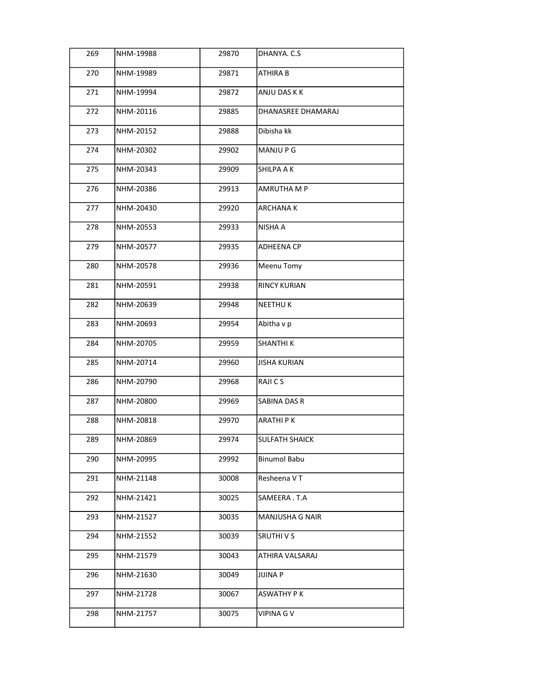| 269 | NHM-19988 | 29870 | DHANYA. C.S            |
|-----|-----------|-------|------------------------|
| 270 | NHM-19989 | 29871 | <b>ATHIRA B</b>        |
| 271 | NHM-19994 | 29872 | ANJU DAS K K           |
| 272 | NHM-20116 | 29885 | DHANASREE DHAMARAJ     |
| 273 | NHM-20152 | 29888 | Dibisha kk             |
| 274 | NHM-20302 | 29902 | MANJU P G              |
| 275 | NHM-20343 | 29909 | SHILPA A K             |
| 276 | NHM-20386 | 29913 | AMRUTHA M P            |
| 277 | NHM-20430 | 29920 | ARCHANA K              |
| 278 | NHM-20553 | 29933 | NISHA A                |
| 279 | NHM-20577 | 29935 | <b>ADHEENA CP</b>      |
| 280 | NHM-20578 | 29936 | Meenu Tomy             |
| 281 | NHM-20591 | 29938 | <b>RINCY KURIAN</b>    |
| 282 | NHM-20639 | 29948 | <b>NEETHUK</b>         |
| 283 | NHM-20693 | 29954 | Abitha v p             |
| 284 | NHM-20705 | 29959 | <b>SHANTHIK</b>        |
| 285 | NHM-20714 | 29960 | <b>JISHA KURIAN</b>    |
| 286 | NHM-20790 | 29968 | RAJICS                 |
| 287 | NHM-20800 | 29969 | SABINA DAS R           |
| 288 | NHM-20818 | 29970 | <b>ARATHIPK</b>        |
| 289 | NHM-20869 | 29974 | <b>SULFATH SHAICK</b>  |
| 290 | NHM-20995 | 29992 | <b>Binumol Babu</b>    |
| 291 | NHM-21148 | 30008 | Resheena V T           |
| 292 | NHM-21421 | 30025 | SAMEERA.T.A            |
| 293 | NHM-21527 | 30035 | <b>MANJUSHA G NAIR</b> |
| 294 | NHM-21552 | 30039 | <b>SRUTHIVS</b>        |
| 295 | NHM-21579 | 30043 | ATHIRA VALSARAJ        |
| 296 | NHM-21630 | 30049 | JIJINA P               |
| 297 | NHM-21728 | 30067 | ASWATHY P K            |
| 298 | NHM-21757 | 30075 | VIPINA G V             |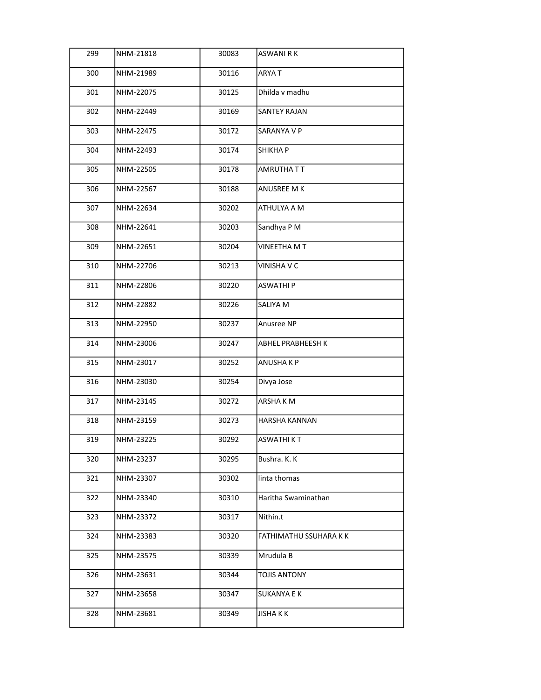| 299 | NHM-21818 | 30083 | <b>ASWANI RK</b>       |
|-----|-----------|-------|------------------------|
| 300 | NHM-21989 | 30116 | <b>ARYAT</b>           |
| 301 | NHM-22075 | 30125 | Dhilda v madhu         |
| 302 | NHM-22449 | 30169 | <b>SANTEY RAJAN</b>    |
| 303 | NHM-22475 | 30172 | SARANYA V P            |
| 304 | NHM-22493 | 30174 | SHIKHA P               |
| 305 | NHM-22505 | 30178 | AMRUTHATT              |
| 306 | NHM-22567 | 30188 | ANUSREE M K            |
| 307 | NHM-22634 | 30202 | ATHULYA A M            |
| 308 | NHM-22641 | 30203 | Sandhya P M            |
| 309 | NHM-22651 | 30204 | VINEETHA M T           |
| 310 | NHM-22706 | 30213 | <b>VINISHA V C</b>     |
| 311 | NHM-22806 | 30220 | <b>ASWATHIP</b>        |
| 312 | NHM-22882 | 30226 | SALIYA M               |
| 313 | NHM-22950 | 30237 | Anusree NP             |
| 314 | NHM-23006 | 30247 | ABHEL PRABHEESH K      |
| 315 | NHM-23017 | 30252 | ANUSHA K P             |
| 316 | NHM-23030 | 30254 | Divya Jose             |
| 317 | NHM-23145 | 30272 | ARSHAKM                |
| 318 | NHM-23159 | 30273 | HARSHA KANNAN          |
| 319 | NHM-23225 | 30292 | ASWATHI K T            |
| 320 | NHM-23237 | 30295 | Bushra. K. K           |
| 321 | NHM-23307 | 30302 | linta thomas           |
| 322 | NHM-23340 | 30310 | Haritha Swaminathan    |
| 323 | NHM-23372 | 30317 | Nithin.t               |
| 324 | NHM-23383 | 30320 | FATHIMATHU SSUHARA K K |
| 325 | NHM-23575 | 30339 | Mrudula B              |
| 326 | NHM-23631 | 30344 | TOJIS ANTONY           |
| 327 | NHM-23658 | 30347 | SUKANYA E K            |
| 328 | NHM-23681 | 30349 | JISHA K K              |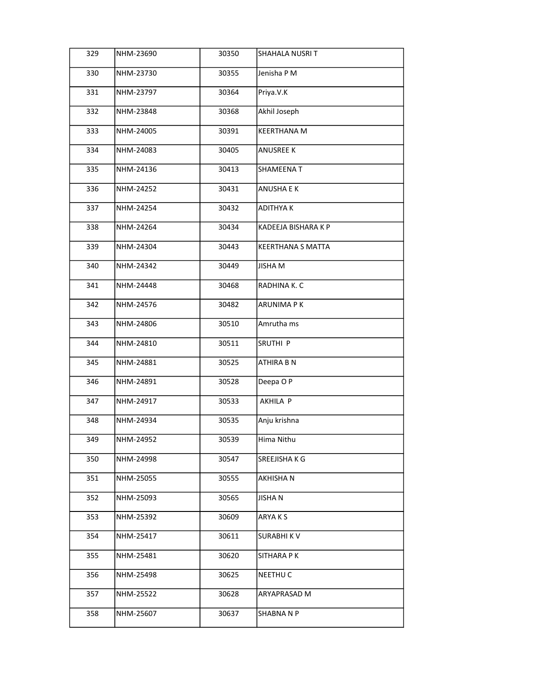| 329 | NHM-23690 | 30350 | SHAHALA NUSRI T     |
|-----|-----------|-------|---------------------|
| 330 | NHM-23730 | 30355 | Jenisha P M         |
| 331 | NHM-23797 | 30364 | Priya.V.K           |
| 332 | NHM-23848 | 30368 | Akhil Joseph        |
| 333 | NHM-24005 | 30391 | <b>KEERTHANA M</b>  |
| 334 | NHM-24083 | 30405 | <b>ANUSREE K</b>    |
| 335 | NHM-24136 | 30413 | SHAMEENA T          |
| 336 | NHM-24252 | 30431 | ANUSHA E K          |
| 337 | NHM-24254 | 30432 | <b>ADITHYAK</b>     |
| 338 | NHM-24264 | 30434 | KADEEJA BISHARA K P |
| 339 | NHM-24304 | 30443 | KEERTHANA S MATTA   |
| 340 | NHM-24342 | 30449 | <b>JISHA M</b>      |
| 341 | NHM-24448 | 30468 | RADHINA K. C        |
| 342 | NHM-24576 | 30482 | <b>ARUNIMA PK</b>   |
| 343 | NHM-24806 | 30510 | Amrutha ms          |
| 344 | NHM-24810 | 30511 | SRUTHI P            |
| 345 | NHM-24881 | 30525 | ATHIRA B N          |
| 346 | NHM-24891 | 30528 | Deepa OP            |
| 347 | NHM-24917 | 30533 | AKHILA P            |
| 348 | NHM-24934 | 30535 | Anju krishna        |
| 349 | NHM-24952 | 30539 | Hima Nithu          |
| 350 | NHM-24998 | 30547 | SREEJISHA K G       |
| 351 | NHM-25055 | 30555 | AKHISHA N           |
| 352 | NHM-25093 | 30565 | JISHA N             |
| 353 | NHM-25392 | 30609 | ARYA K S            |
| 354 | NHM-25417 | 30611 | <b>SURABHIKV</b>    |
| 355 | NHM-25481 | 30620 | SITHARA P K         |
| 356 | NHM-25498 | 30625 | NEETHU C            |
| 357 | NHM-25522 | 30628 | ARYAPRASAD M        |
| 358 | NHM-25607 | 30637 | SHABNA N P          |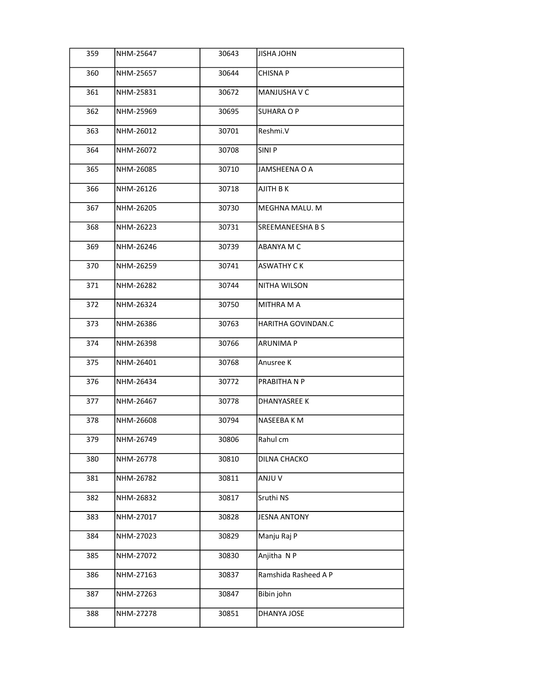| 359 | NHM-25647 | 30643 | JISHA JOHN           |
|-----|-----------|-------|----------------------|
| 360 | NHM-25657 | 30644 | CHISNA P             |
| 361 | NHM-25831 | 30672 | MANJUSHA V C         |
| 362 | NHM-25969 | 30695 | SUHARA O P           |
| 363 | NHM-26012 | 30701 | Reshmi.V             |
| 364 | NHM-26072 | 30708 | SINI P               |
| 365 | NHM-26085 | 30710 | JAMSHEENA O A        |
| 366 | NHM-26126 | 30718 | AJITH B K            |
| 367 | NHM-26205 | 30730 | MEGHNA MALU. M       |
| 368 | NHM-26223 | 30731 | SREEMANEESHA B S     |
| 369 | NHM-26246 | 30739 | ABANYA M C           |
| 370 | NHM-26259 | 30741 | ASWATHY C K          |
| 371 | NHM-26282 | 30744 | NITHA WILSON         |
| 372 | NHM-26324 | 30750 | MITHRA M A           |
| 373 | NHM-26386 | 30763 | HARITHA GOVINDAN.C   |
| 374 | NHM-26398 | 30766 | ARUNIMA P            |
| 375 | NHM-26401 | 30768 | Anusree K            |
| 376 | NHM-26434 | 30772 | PRABITHA N P         |
| 377 | NHM-26467 | 30778 | DHANYASREE K         |
| 378 | NHM-26608 | 30794 | NASEEBA K M          |
| 379 | NHM-26749 | 30806 | Rahul cm             |
| 380 | NHM-26778 | 30810 | DILNA CHACKO         |
| 381 | NHM-26782 | 30811 | ANJU V               |
| 382 | NHM-26832 | 30817 | Sruthi NS            |
| 383 | NHM-27017 | 30828 | <b>JESNA ANTONY</b>  |
| 384 | NHM-27023 | 30829 | Manju Raj P          |
| 385 | NHM-27072 | 30830 | Anjitha N P          |
| 386 | NHM-27163 | 30837 | Ramshida Rasheed A P |
| 387 | NHM-27263 | 30847 | Bibin john           |
| 388 | NHM-27278 | 30851 | DHANYA JOSE          |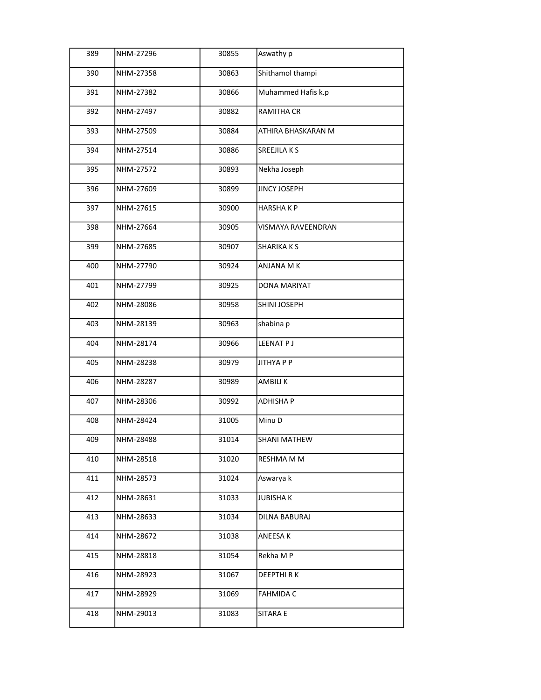| 389 | NHM-27296 | 30855 | Aswathy p            |
|-----|-----------|-------|----------------------|
| 390 | NHM-27358 | 30863 | Shithamol thampi     |
| 391 | NHM-27382 | 30866 | Muhammed Hafis k.p   |
| 392 | NHM-27497 | 30882 | <b>RAMITHA CR</b>    |
| 393 | NHM-27509 | 30884 | ATHIRA BHASKARAN M   |
| 394 | NHM-27514 | 30886 | <b>SREEJILAKS</b>    |
| 395 | NHM-27572 | 30893 | Nekha Joseph         |
| 396 | NHM-27609 | 30899 | <b>JINCY JOSEPH</b>  |
| 397 | NHM-27615 | 30900 | <b>HARSHAKP</b>      |
| 398 | NHM-27664 | 30905 | VISMAYA RAVEENDRAN   |
| 399 | NHM-27685 | 30907 | <b>SHARIKAKS</b>     |
| 400 | NHM-27790 | 30924 | ANJANA M K           |
| 401 | NHM-27799 | 30925 | DONA MARIYAT         |
| 402 | NHM-28086 | 30958 | SHINI JOSEPH         |
| 403 | NHM-28139 | 30963 | shabina p            |
| 404 | NHM-28174 | 30966 | LEENAT P J           |
| 405 | NHM-28238 | 30979 | JITHYA P P           |
| 406 | NHM-28287 | 30989 | <b>AMBILIK</b>       |
| 407 | NHM-28306 | 30992 | <b>ADHISHAP</b>      |
| 408 | NHM-28424 | 31005 | Minu D               |
| 409 | NHM-28488 | 31014 | <b>SHANI MATHEW</b>  |
| 410 | NHM-28518 | 31020 | RESHMA M M           |
| 411 | NHM-28573 | 31024 | Aswarya k            |
| 412 | NHM-28631 | 31033 | <b>JUBISHAK</b>      |
| 413 | NHM-28633 | 31034 | <b>DILNA BABURAJ</b> |
| 414 | NHM-28672 | 31038 | ANEESA K             |
| 415 | NHM-28818 | 31054 | Rekha M P            |
| 416 | NHM-28923 | 31067 | <b>DEEPTHIRK</b>     |
| 417 | NHM-28929 | 31069 | <b>FAHMIDA C</b>     |
| 418 | NHM-29013 | 31083 | SITARA E             |